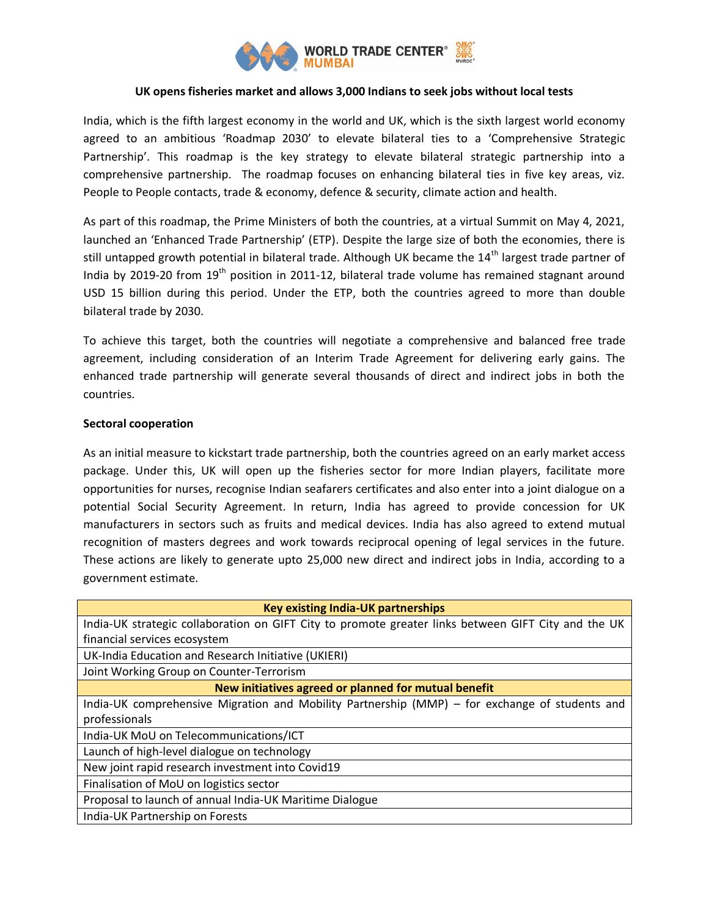

## **UK opens fisheries market and allows 3,000 Indians to seek jobs without local tests**

India, which is the fifth largest economy in the world and UK, which is the sixth largest world economy agreed to an ambitious 'Roadmap 2030' to elevate bilateral ties to a 'Comprehensive Strategic Partnership'. This roadmap is the key strategy to elevate bilateral strategic partnership into a comprehensive partnership. The roadmap focuses on enhancing bilateral ties in five key areas, viz. People to People contacts, trade & economy, defence & security, climate action and health.

As part of this roadmap, the Prime Ministers of both the countries, at a virtual Summit on May 4, 2021, launched an 'Enhanced Trade Partnership' (ETP). Despite the large size of both the economies, there is still untapped growth potential in bilateral trade. Although UK became the 14<sup>th</sup> largest trade partner of India by 2019-20 from  $19<sup>th</sup>$  position in 2011-12, bilateral trade volume has remained stagnant around USD 15 billion during this period. Under the ETP, both the countries agreed to more than double bilateral trade by 2030.

To achieve this target, both the countries will negotiate a comprehensive and balanced free trade agreement, including consideration of an Interim Trade Agreement for delivering early gains. The enhanced trade partnership will generate several thousands of direct and indirect jobs in both the countries.

# **Sectoral cooperation**

As an initial measure to kickstart trade partnership, both the countries agreed on an early market access package. Under this, UK will open up the fisheries sector for more Indian players, facilitate more opportunities for nurses, recognise Indian seafarers certificates and also enter into a joint dialogue on a potential Social Security Agreement. In return, India has agreed to provide concession for UK manufacturers in sectors such as fruits and medical devices. India has also agreed to extend mutual recognition of masters degrees and work towards reciprocal opening of legal services in the future. These actions are likely to generate upto 25,000 new direct and indirect jobs in India, according to a government estimate.

| <b>Key existing India-UK partnerships</b>                                                           |
|-----------------------------------------------------------------------------------------------------|
| India-UK strategic collaboration on GIFT City to promote greater links between GIFT City and the UK |
| financial services ecosystem                                                                        |
| UK-India Education and Research Initiative (UKIERI)                                                 |
| Joint Working Group on Counter-Terrorism                                                            |
| New initiatives agreed or planned for mutual benefit                                                |
| India-UK comprehensive Migration and Mobility Partnership (MMP) – for exchange of students and      |
| professionals                                                                                       |
| India-UK MoU on Telecommunications/ICT                                                              |
| Launch of high-level dialogue on technology                                                         |
| New joint rapid research investment into Covid19                                                    |
| Finalisation of MoU on logistics sector                                                             |
| Proposal to launch of annual India-UK Maritime Dialogue                                             |
| India-UK Partnership on Forests                                                                     |
|                                                                                                     |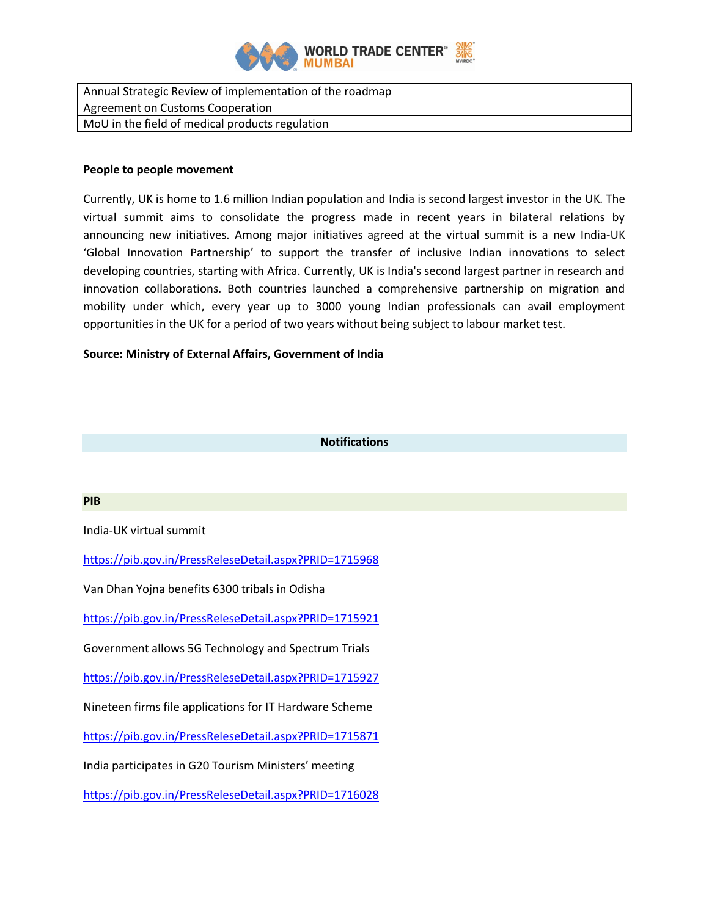

| Annual Strategic Review of implementation of the roadmap |
|----------------------------------------------------------|
| Agreement on Customs Cooperation                         |
| MoU in the field of medical products regulation          |

### **People to people movement**

Currently, UK is home to 1.6 million Indian population and India is second largest investor in the UK. The virtual summit aims to consolidate the progress made in recent years in bilateral relations by announcing new initiatives. Among major initiatives agreed at the virtual summit is a new India-UK 'Global Innovation Partnership' to support the transfer of inclusive Indian innovations to select developing countries, starting with Africa. Currently, UK is India's second largest partner in research and innovation collaborations. Both countries launched a comprehensive partnership on migration and mobility under which, every year up to 3000 young Indian professionals can avail employment opportunities in the UK for a period of two years without being subject to labour market test.

# **Source: Ministry of External Affairs, Government of India**

### **Notifications**

#### **PIB**

India-UK virtual summit

<https://pib.gov.in/PressReleseDetail.aspx?PRID=1715968>

Van Dhan Yojna benefits 6300 tribals in Odisha

<https://pib.gov.in/PressReleseDetail.aspx?PRID=1715921>

Government allows 5G Technology and Spectrum Trials

<https://pib.gov.in/PressReleseDetail.aspx?PRID=1715927>

Nineteen firms file applications for IT Hardware Scheme

<https://pib.gov.in/PressReleseDetail.aspx?PRID=1715871>

India participates in G20 Tourism Ministers' meeting

<https://pib.gov.in/PressReleseDetail.aspx?PRID=1716028>